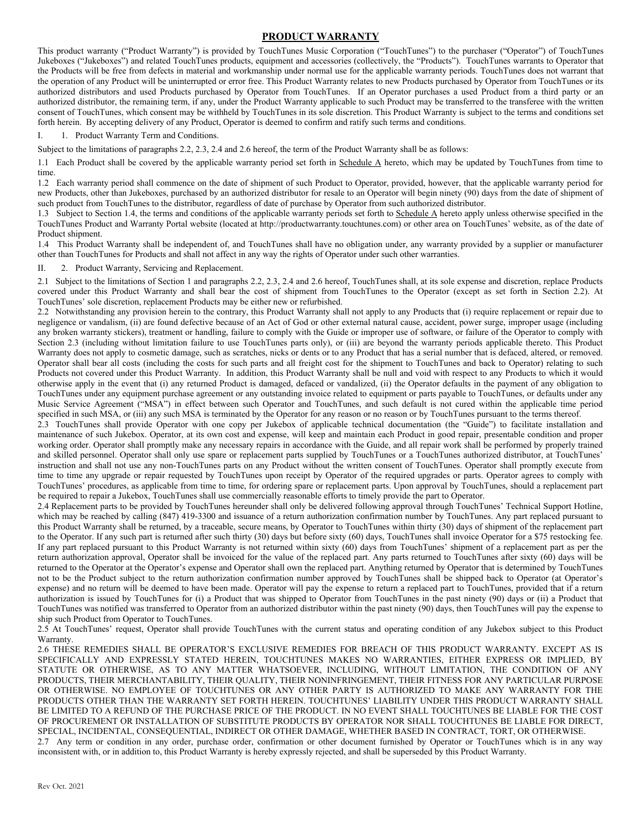## **PRODUCT WARRANTY**

This product warranty ("Product Warranty") is provided by TouchTunes Music Corporation ("TouchTunes") to the purchaser ("Operator") of TouchTunes Jukeboxes ("Jukeboxes") and related TouchTunes products, equipment and accessories (collectively, the "Products"). TouchTunes warrants to Operator that the Products will be free from defects in material and workmanship under normal use for the applicable warranty periods. TouchTunes does not warrant that the operation of any Product will be uninterrupted or error free. This Product Warranty relates to new Products purchased by Operator from TouchTunes or its authorized distributors and used Products purchased by Operator from TouchTunes. If an Operator purchases a used Product from a third party or an authorized distributor, the remaining term, if any, under the Product Warranty applicable to such Product may be transferred to the transferee with the written consent of TouchTunes, which consent may be withheld by TouchTunes in its sole discretion. This Product Warranty is subject to the terms and conditions set forth herein. By accepting delivery of any Product, Operator is deemed to confirm and ratify such terms and conditions.

I. 1. Product Warranty Term and Conditions.

Subject to the limitations of paragraphs 2.2, 2.3, 2.4 and 2.6 hereof, the term of the Product Warranty shall be as follows:

1.1 Each Product shall be covered by the applicable warranty period set forth in Schedule A hereto, which may be updated by TouchTunes from time to time.

1.2 Each warranty period shall commence on the date of shipment of such Product to Operator, provided, however, that the applicable warranty period for new Products, other than Jukeboxes, purchased by an authorized distributor for resale to an Operator will begin ninety (90) days from the date of shipment of such product from TouchTunes to the distributor, regardless of date of purchase by Operator from such authorized distributor.

1.3 Subject to Section 1.4, the terms and conditions of the applicable warranty periods set forth to Schedule A hereto apply unless otherwise specified in the TouchTunes Product and Warranty Portal website (located at http://productwarranty.touchtunes.com) or other area on TouchTunes' website, as of the date of Product shipment.

1.4 This Product Warranty shall be independent of, and TouchTunes shall have no obligation under, any warranty provided by a supplier or manufacturer other than TouchTunes for Products and shall not affect in any way the rights of Operator under such other warranties.

2. Product Warranty, Servicing and Replacement.

2.1 Subject to the limitations of Section 1 and paragraphs 2.2, 2.3, 2.4 and 2.6 hereof, TouchTunes shall, at its sole expense and discretion, replace Products covered under this Product Warranty and shall bear the cost of shipment from TouchTunes to the Operator (except as set forth in Section 2.2). At TouchTunes' sole discretion, replacement Products may be either new or refurbished.

2.2 Notwithstanding any provision herein to the contrary, this Product Warranty shall not apply to any Products that (i) require replacement or repair due to negligence or vandalism, (ii) are found defective because of an Act of God or other external natural cause, accident, power surge, improper usage (including any broken warranty stickers), treatment or handling, failure to comply with the Guide or improper use of software, or failure of the Operator to comply with Section 2.3 (including without limitation failure to use TouchTunes parts only), or (iii) are beyond the warranty periods applicable thereto. This Product Warranty does not apply to cosmetic damage, such as scratches, nicks or dents or to any Product that has a serial number that is defaced, altered, or removed. Operator shall bear all costs (including the costs for such parts and all freight cost for the shipment to TouchTunes and back to Operator) relating to such Products not covered under this Product Warranty. In addition, this Product Warranty shall be null and void with respect to any Products to which it would otherwise apply in the event that (i) any returned Product is damaged, defaced or vandalized, (ii) the Operator defaults in the payment of any obligation to TouchTunes under any equipment purchase agreement or any outstanding invoice related to equipment or parts payable to TouchTunes, or defaults under any Music Service Agreement ("MSA") in effect between such Operator and TouchTunes, and such default is not cured within the applicable time period specified in such MSA, or (iii) any such MSA is terminated by the Operator for any reason or no reason or by TouchTunes pursuant to the terms thereof.

2.3 TouchTunes shall provide Operator with one copy per Jukebox of applicable technical documentation (the "Guide") to facilitate installation and maintenance of such Jukebox. Operator, at its own cost and expense, will keep and maintain each Product in good repair, presentable condition and proper working order. Operator shall promptly make any necessary repairs in accordance with the Guide, and all repair work shall be performed by properly trained and skilled personnel. Operator shall only use spare or replacement parts supplied by TouchTunes or a TouchTunes authorized distributor, at TouchTunes' instruction and shall not use any non-TouchTunes parts on any Product without the written consent of TouchTunes. Operator shall promptly execute from time to time any upgrade or repair requested by TouchTunes upon receipt by Operator of the required upgrades or parts. Operator agrees to comply with TouchTunes' procedures, as applicable from time to time, for ordering spare or replacement parts. Upon approval by TouchTunes, should a replacement part be required to repair a Jukebox, TouchTunes shall use commercially reasonable efforts to timely provide the part to Operator.

2.4 Replacement parts to be provided by TouchTunes hereunder shall only be delivered following approval through TouchTunes' Technical Support Hotline, which may be reached by calling (847) 419-3300 and issuance of a return authorization confirmation number by TouchTunes. Any part replaced pursuant to this Product Warranty shall be returned, by a traceable, secure means, by Operator to TouchTunes within thirty (30) days of shipment of the replacement part to the Operator. If any such part is returned after such thirty (30) days but before sixty (60) days, TouchTunes shall invoice Operator for a \$75 restocking fee. If any part replaced pursuant to this Product Warranty is not returned within sixty (60) days from TouchTunes' shipment of a replacement part as per the return authorization approval, Operator shall be invoiced for the value of the replaced part. Any parts returned to TouchTunes after sixty (60) days will be returned to the Operator at the Operator's expense and Operator shall own the replaced part. Anything returned by Operator that is determined by TouchTunes not to be the Product subject to the return authorization confirmation number approved by TouchTunes shall be shipped back to Operator (at Operator's expense) and no return will be deemed to have been made. Operator will pay the expense to return a replaced part to TouchTunes, provided that if a return authorization is issued by TouchTunes for (i) a Product that was shipped to Operator from TouchTunes in the past ninety (90) days or (ii) a Product that TouchTunes was notified was transferred to Operator from an authorized distributor within the past ninety (90) days, then TouchTunes will pay the expense to ship such Product from Operator to TouchTunes.

2.5 At TouchTunes' request, Operator shall provide TouchTunes with the current status and operating condition of any Jukebox subject to this Product Warranty.

2.6 THESE REMEDIES SHALL BE OPERATOR'S EXCLUSIVE REMEDIES FOR BREACH OF THIS PRODUCT WARRANTY. EXCEPT AS IS SPECIFICALLY AND EXPRESSLY STATED HEREIN, TOUCHTUNES MAKES NO WARRANTIES, EITHER EXPRESS OR IMPLIED, BY STATUTE OR OTHERWISE, AS TO ANY MATTER WHATSOEVER, INCLUDING, WITHOUT LIMITATION, THE CONDITION OF ANY PRODUCTS, THEIR MERCHANTABILITY, THEIR QUALITY, THEIR NONINFRINGEMENT, THEIR FITNESS FOR ANY PARTICULAR PURPOSE OR OTHERWISE. NO EMPLOYEE OF TOUCHTUNES OR ANY OTHER PARTY IS AUTHORIZED TO MAKE ANY WARRANTY FOR THE PRODUCTS OTHER THAN THE WARRANTY SET FORTH HEREIN. TOUCHTUNES' LIABILITY UNDER THIS PRODUCT WARRANTY SHALL BE LIMITED TO A REFUND OF THE PURCHASE PRICE OF THE PRODUCT. IN NO EVENT SHALL TOUCHTUNES BE LIABLE FOR THE COST OF PROCUREMENT OR INSTALLATION OF SUBSTITUTE PRODUCTS BY OPERATOR NOR SHALL TOUCHTUNES BE LIABLE FOR DIRECT, SPECIAL, INCIDENTAL, CONSEQUENTIAL, INDIRECT OR OTHER DAMAGE, WHETHER BASED IN CONTRACT, TORT, OR OTHERWISE.

2.7 Any term or condition in any order, purchase order, confirmation or other document furnished by Operator or TouchTunes which is in any way inconsistent with, or in addition to, this Product Warranty is hereby expressly rejected, and shall be superseded by this Product Warranty.